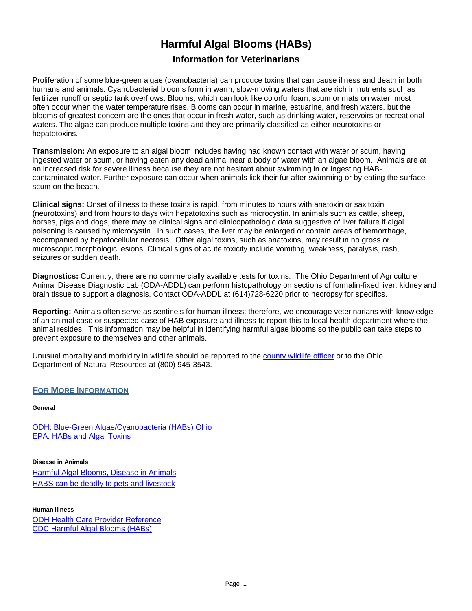# **Harmful Algal Blooms (HABs)**

# **Information for Veterinarians**

Proliferation of some blue-green algae (cyanobacteria) can produce toxins that can cause illness and death in both humans and animals. Cyanobacterial blooms form in warm, slow-moving waters that are rich in nutrients such as fertilizer runoff or septic tank overflows. Blooms, which can look like colorful foam, scum or mats on water, most often occur when the water temperature rises. Blooms can occur in marine, estuarine, and fresh waters, but the blooms of greatest concern are the ones that occur in fresh water, such as drinking water, reservoirs or recreational waters. The algae can produce multiple toxins and they are primarily classified as either neurotoxins or hepatotoxins.

**Transmission:** An exposure to an algal bloom includes having had known contact with water or scum, having ingested water or scum, or having eaten any dead animal near a body of water with an algae bloom. Animals are at an increased risk for severe illness because they are not hesitant about swimming in or ingesting HABcontaminated water. Further exposure can occur when animals lick their fur after swimming or by eating the surface scum on the beach.

**Clinical signs:** Onset of illness to these toxins is rapid, from minutes to hours with anatoxin or saxitoxin (neurotoxins) and from hours to days with hepatotoxins such as microcystin. In animals such as cattle, sheep, horses, pigs and dogs, there may be clinical signs and clinicopathologic data suggestive of liver failure if algal poisoning is caused by microcystin. In such cases, the liver may be enlarged or contain areas of hemorrhage, accompanied by hepatocellular necrosis. Other algal toxins, such as anatoxins, may result in no gross or microscopic morphologic lesions. Clinical signs of acute toxicity include vomiting, weakness, paralysis, rash, seizures or sudden death.

**Diagnostics:** Currently, there are no commercially available tests for toxins. The Ohio Department of Agriculture Animal Disease Diagnostic Lab (ODA-ADDL) can perform histopathology on sections of formalin-fixed liver, kidney and brain tissue to support a diagnosis. Contact ODA-ADDL at (614)728-6220 prior to necropsy for specifics.

**Reporting:** Animals often serve as sentinels for human illness; therefore, we encourage veterinarians with knowledge of an animal case or suspected case of HAB exposure and illness to report this to local health department where the animal resides. This information may be helpful in identifying harmful algae blooms so the public can take steps to prevent exposure to themselves and other animals.

Unusual mortality and morbidity in wildlife should be reported to the county [wildlife officer](http://www.dnr.state.oh.us/Home/wild_resourcessubhomepage/about_the_division_landingpage/contactdefault/WildlifeOfficersbyCounty/tabid/7004/Default.aspx) or to the Ohio Department of Natural Resources at (800) 945-3543.

## **FOR MORE INFORMATION**

#### **General**

ODH: Blue-Green [Algae/Cyanobacteria \(HABs\)](http://www.odh.ohio.gov/~/media/ODH/ASSETS/Files/eh/HABs/HABfactsheet.ashx) [Ohio](http://www.odh.ohio.gov/~/media/ODH/ASSETS/Files/eh/HABs/HABfactsheet.ashx)  EPA: [HABs and](http://www.epa.state.oh.us/dsw/HAB.aspx) Algal Toxins

**Disease in Animals** [Harmful Algal Blooms, Disease in Animals](https://www.odh.ohio.gov/~/media/ODH/ASSETS/Files/eh/HABs/HABsDiseaseinAnimals.ashx)  HABS can be deadly [to pets and](http://www.epa.state.oh.us/portals/35/inland_lakes/OhioVeterinaryAssociationArticle40910%20.pdf) livestock

**Human illness**

[ODH Health Care Provider Reference](http://www.odh.ohio.gov/~/media/ODH/ASSETS/Files/eh/HABs/habproviderreference.ashx) [CDC Harmful](http://www.cdc.gov/nceh/hsb/hab/default.htm) Algal Blooms (HABs)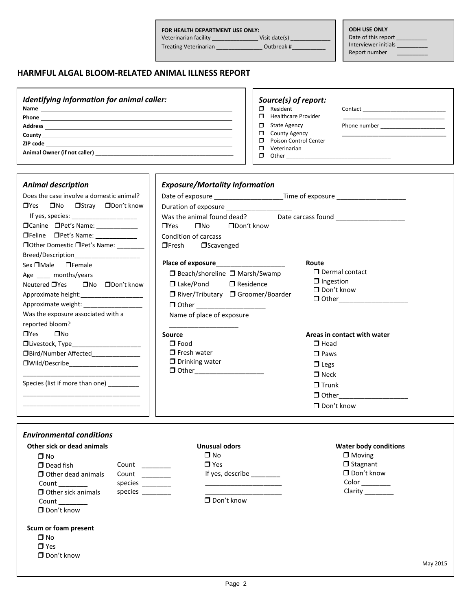#### **FOR HEALTH DEPARTMENT USE ONLY:**

Veterinarian facility \_\_\_\_\_\_\_\_\_\_\_\_\_\_\_\_\_\_\_\_ Visit date(s) \_\_\_\_\_\_\_\_\_\_\_\_\_\_\_\_

**ODH USE ONLY** Date of this report \_\_

Treating Veterinarian \_\_\_\_\_\_\_\_\_\_\_\_\_\_\_\_\_\_\_ Outbreak #\_\_\_\_\_\_\_\_\_\_\_\_\_\_\_\_\_\_\_\_\_\_\_\_\_\_\_\_

Interviewer initials \_\_\_\_\_\_\_\_\_\_ Report number \_\_\_\_\_\_\_\_\_\_

## **HARMFUL ALGAL BLOOM-RELATED ANIMAL ILLNESS REPORT**

| Identifying information for animal caller:                                 | Source(s) of report:                                                                                                                                                                                                                                                     |
|----------------------------------------------------------------------------|--------------------------------------------------------------------------------------------------------------------------------------------------------------------------------------------------------------------------------------------------------------------------|
| Phone                                                                      | Resident<br>Contact the contract of the contract of the contract of the contract of the contract of the contract of the contract of the contract of the contract of the contract of the contract of the contract of the contract of the co<br><b>Healthcare Provider</b> |
| <b>Address</b><br><u> 1980 - Jan Stein, Amerikaansk politiker († 1908)</u> | <b>State Agency</b><br>Phone number<br><b>County Agency</b>                                                                                                                                                                                                              |
| County<br>ZIP code                                                         | Poison Control Center                                                                                                                                                                                                                                                    |
| Animal Owner (if not caller) _________________                             | Veterinarian<br>Other                                                                                                                                                                                                                                                    |

| <b>Animal description</b>                                                                                      | <b>Exposure/Mortality Information</b>                                                                            |  |  |  |
|----------------------------------------------------------------------------------------------------------------|------------------------------------------------------------------------------------------------------------------|--|--|--|
| Does the case involve a domestic animal?                                                                       | Date of exposure _____________________________Time of exposure _________________                                 |  |  |  |
| $\Box$ Yes $\Box$ No $\Box$ Stray $\Box$ Don't know                                                            | Duration of exposure ___________________                                                                         |  |  |  |
| If yes, species: The second service of the service of the service of the series of the series of the series of | Was the animal found dead? Date carcass found __________________________________                                 |  |  |  |
| $\Box$ Canine $\Box$ Pet's Name:                                                                               | $\square$ Yes $\square$ No<br>$\Box$ Don't know                                                                  |  |  |  |
| □Feline □Pet's Name: ___________                                                                               | Condition of carcass                                                                                             |  |  |  |
| □ Other Domestic □ Pet's Name: _______                                                                         | $\Box$ Fresh $\Box$ Scavenged                                                                                    |  |  |  |
| Breed/Description_____________________                                                                         |                                                                                                                  |  |  |  |
| $Sex$ $\Box$ Male $\Box$ Female<br>Age months/years                                                            | Place of exposure and the state of exposure<br>Route<br>$\Box$ Dermal contact<br>□ Beach/shoreline □ Marsh/Swamp |  |  |  |
| Neutered $\Box$ Yes $\Box$ No $\Box$ Don't know                                                                | $\Box$ Ingestion<br>$\Box$ Lake/Pond $\Box$ Residence                                                            |  |  |  |
|                                                                                                                | $\Box$ Don't know<br>□ River/Tributary □ Groomer/Boarder                                                         |  |  |  |
|                                                                                                                | <b>D</b> Other___________________<br>□ Other ___________________                                                 |  |  |  |
| Was the exposure associated with a                                                                             | Name of place of exposure                                                                                        |  |  |  |
| reported bloom?                                                                                                |                                                                                                                  |  |  |  |
| $\square$ No<br>$\Box$ Yes                                                                                     | Areas in contact with water<br>Source                                                                            |  |  |  |
| □Livestock, Type_______________________                                                                        | $\Box$ Food<br>$\Box$ Head                                                                                       |  |  |  |
| □Bird/Number Affected_____________                                                                             | $\Box$ Fresh water<br>$\Box$ Paws                                                                                |  |  |  |
|                                                                                                                | $\Box$ Drinking water<br>$\Box$ Legs                                                                             |  |  |  |
|                                                                                                                | □ Other____________________<br>$\Box$ Neck                                                                       |  |  |  |
| Species (list if more than one) ________                                                                       | $\Box$ Trunk                                                                                                     |  |  |  |
|                                                                                                                | O Other_____________________                                                                                     |  |  |  |
|                                                                                                                | $\Box$ Don't know                                                                                                |  |  |  |
|                                                                                                                |                                                                                                                  |  |  |  |

| Other sick or dead animals |         | <b>Unusual odors</b> | <b>Water body conditions</b> |
|----------------------------|---------|----------------------|------------------------------|
| $\square$ No               |         | $\square$ No         | $\Box$ Moving                |
| $\Box$ Dead fish           | Count   | $\Box$ Yes           | $\Box$ Stagnant              |
| $\Box$ Other dead animals  | Count   | If yes, describe     | $\Box$ Don't know            |
| Count                      | species |                      | $Color \_\_\_\_\_\_\_\$      |
| $\Box$ Other sick animals  | species |                      | Clarity                      |
| Count $\qquad \qquad$      |         | $\Box$ Don't know    |                              |
| $\Box$ Don't know          |         |                      |                              |
| Scum or foam present       |         |                      |                              |
| $\Box$ No                  |         |                      |                              |
| $\Box$ Yes                 |         |                      |                              |
| $\Box$ Don't know          |         |                      |                              |
|                            |         |                      | May 2015                     |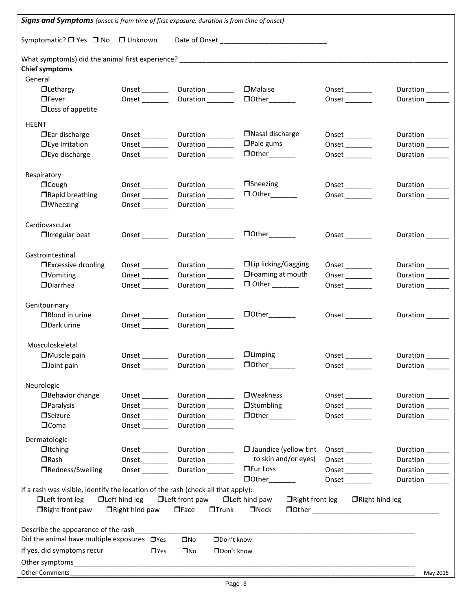| <b>Signs and Symptoms</b> (onset is from time of first exposure, duration is from time of onset) |                                  |                                                        |                                                |                              |                                              |
|--------------------------------------------------------------------------------------------------|----------------------------------|--------------------------------------------------------|------------------------------------------------|------------------------------|----------------------------------------------|
| Symptomatic? □ Yes □ No □ Unknown                                                                |                                  |                                                        |                                                |                              |                                              |
|                                                                                                  |                                  |                                                        |                                                |                              |                                              |
| <b>Chief symptoms</b>                                                                            |                                  |                                                        |                                                |                              |                                              |
| General                                                                                          |                                  |                                                        |                                                |                              |                                              |
| $\Box$ Lethargy                                                                                  |                                  | Onset _________ Duration _________ OMalaise            |                                                | $Onset$ <sub>_________</sub> | Duration ______                              |
| $\Box$ Fever<br>$\Box$ Loss of appetite                                                          | Onset $\_\_$                     |                                                        | Duration ________ Other_______                 | Onset $\_\_$                 | Duration <sub>_____</sub>                    |
| <b>HEENT</b>                                                                                     |                                  |                                                        |                                                |                              |                                              |
| $\Box$ Ear discharge                                                                             |                                  |                                                        | □Nasal discharge                               | Onset $\_\_$                 | Duration ______                              |
| $\Box$ Eye Irritation                                                                            |                                  | Duration <sub>_____</sub>                              | $\Box$ Pale gums                               |                              | Duration______                               |
| $\Box$ Eye discharge                                                                             |                                  |                                                        |                                                | Onset $\_\_$                 | Duration                                     |
|                                                                                                  |                                  |                                                        |                                                |                              |                                              |
| Respiratory                                                                                      |                                  |                                                        |                                                |                              |                                              |
| $\Box$ Cough                                                                                     | Onset _______                    | Duration <sub>______</sub>                             | $\Box$ Sneezing                                | Onset $\_\_$                 | Duration ______                              |
| □Rapid breathing                                                                                 | Onset _______                    | Duration <sub>_____</sub>                              |                                                |                              | Duration                                     |
| $\Box$ Wheezing                                                                                  | Onset $\_\_$                     | Duration                                               |                                                |                              |                                              |
|                                                                                                  |                                  |                                                        |                                                |                              |                                              |
| Cardiovascular                                                                                   |                                  |                                                        |                                                |                              |                                              |
| $\Box$ Irregular beat                                                                            |                                  | Onset __________ Duration ____________ DOther_________ |                                                |                              | Duration ______                              |
|                                                                                                  |                                  |                                                        |                                                |                              |                                              |
| Gastrointestinal                                                                                 |                                  |                                                        |                                                |                              |                                              |
| □ Excessive drooling                                                                             |                                  | Onset Duration                                         | □Lip licking/Gagging                           | $Onset$ <sub>_________</sub> | Duration ______                              |
| $\Box$ Vomiting                                                                                  |                                  | Duration <sub>______</sub>                             | $\Box$ Foaming at mouth                        | Onset $\_\_$                 | Duration ______                              |
| <b>ODiarrhea</b>                                                                                 | Onset $\_\_$                     | Duration <sub>______</sub>                             |                                                | Onset $\_\_$                 | Duration <sub>_____</sub>                    |
|                                                                                                  |                                  |                                                        |                                                |                              |                                              |
| Genitourinary                                                                                    |                                  |                                                        |                                                |                              |                                              |
| □Blood in urine                                                                                  |                                  | Duration                                               |                                                | Onset ________               | Duration <sub>_____</sub>                    |
| DDark urine                                                                                      |                                  | Onset Duration                                         |                                                |                              |                                              |
| Musculoskeletal                                                                                  |                                  |                                                        |                                                |                              |                                              |
| $\Box$ Muscle pain                                                                               | Onset                            | Duration                                               | $\Box$ Limping                                 | Onset                        | Duration                                     |
| $\Box$ Joint pain                                                                                |                                  | Duration                                               |                                                | Onset                        | Duration                                     |
|                                                                                                  |                                  |                                                        |                                                |                              |                                              |
| Neurologic                                                                                       |                                  |                                                        |                                                |                              |                                              |
| <b>Behavior change</b>                                                                           | Onset                            | Duration ______                                        | <b>O</b> Weakness                              | Onset $\_\_$                 | Duration ______                              |
| $\Box$ Paralysis                                                                                 |                                  | Duration                                               | <b>Stumbling</b>                               |                              | Duration <sub>_____</sub>                    |
| <b>O</b> Seizure                                                                                 |                                  | Duration <sub>______</sub>                             | $\Box$ Other                                   | Onset $\_\_$                 | Duration                                     |
| $\Box$ Coma                                                                                      | Onset _______                    | Duration                                               |                                                |                              |                                              |
|                                                                                                  |                                  |                                                        |                                                |                              |                                              |
| Dermatologic<br>$\Box$ Itching                                                                   |                                  |                                                        | $\Box$ Jaundice (yellow tint                   |                              |                                              |
| $\Box$ Rash                                                                                      | Onset __________<br>Onset $\_\_$ | Duration ______<br>Duration                            | to skin and/or eyes)                           |                              | Duration ______<br>Duration <sub>_____</sub> |
| □Redness/Swelling                                                                                | Onset _______                    |                                                        | <b>OFur Loss</b>                               | Onset $\_\_$                 |                                              |
|                                                                                                  |                                  | Duration                                               |                                                | Onset $\_\_$                 | Duration <sub>_____</sub>                    |
| If a rash was visible, identify the location of the rash (check all that apply):                 |                                  |                                                        |                                                | Onset $\_\_$                 | Duration ______                              |
| □Left front leg                                                                                  | $\Box$ Left hind leg             | $\Box$ Left front paw                                  | $\Box$ Left hind paw<br>$\Box$ Right front leg | $\Box$ Right hind leg        |                                              |
| $\Box$ Right front paw                                                                           | $\Box$ Right hind paw            | $\Box$ Face<br>$\Box$ Trunk                            | $\Box$ Neck                                    |                              |                                              |
|                                                                                                  |                                  |                                                        |                                                |                              |                                              |
| Describe the appearance of the rash                                                              |                                  |                                                        |                                                |                              |                                              |
| Did the animal have multiple exposures $\Box$ Yes                                                |                                  | $\square$ No<br>□Don't know                            |                                                |                              |                                              |
| If yes, did symptoms recur                                                                       | $\Box$ Yes                       | □Don't know<br>$\square$ No                            |                                                |                              |                                              |
|                                                                                                  |                                  |                                                        |                                                |                              |                                              |
|                                                                                                  |                                  |                                                        |                                                |                              |                                              |
| <b>Other Comments</b>                                                                            |                                  |                                                        |                                                |                              | May 2015                                     |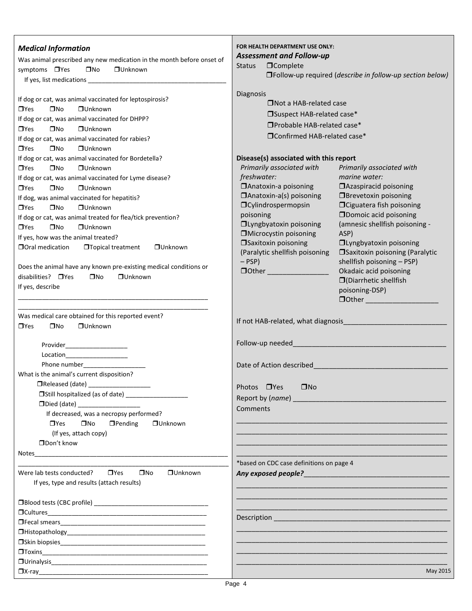| <b>Medical Information</b><br>Was animal prescribed any new medication in the month before onset of<br>symptoms □ Yes<br>$\square$ No<br><b>OUnknown</b><br>If dog or cat, was animal vaccinated for leptospirosis?                                                                                                                                                                                                                                                                                                                                                                                                                                                                                     | FOR HEALTH DEPARTMENT USE ONLY:<br><b>Assessment and Follow-up</b><br><b>O</b> Complete<br><b>Status</b><br>□Follow-up required (describe in follow-up section below)<br>Diagnosis                                                                                                                                                                                                                                                                                                                                                                                                                                                                                                                                                                  |
|---------------------------------------------------------------------------------------------------------------------------------------------------------------------------------------------------------------------------------------------------------------------------------------------------------------------------------------------------------------------------------------------------------------------------------------------------------------------------------------------------------------------------------------------------------------------------------------------------------------------------------------------------------------------------------------------------------|-----------------------------------------------------------------------------------------------------------------------------------------------------------------------------------------------------------------------------------------------------------------------------------------------------------------------------------------------------------------------------------------------------------------------------------------------------------------------------------------------------------------------------------------------------------------------------------------------------------------------------------------------------------------------------------------------------------------------------------------------------|
| $\square$ No<br><b>OUnknown</b><br>$\Box$ Yes                                                                                                                                                                                                                                                                                                                                                                                                                                                                                                                                                                                                                                                           | $\Box$ Not a HAB-related case                                                                                                                                                                                                                                                                                                                                                                                                                                                                                                                                                                                                                                                                                                                       |
| If dog or cat, was animal vaccinated for DHPP?                                                                                                                                                                                                                                                                                                                                                                                                                                                                                                                                                                                                                                                          | □Suspect HAB-related case*                                                                                                                                                                                                                                                                                                                                                                                                                                                                                                                                                                                                                                                                                                                          |
| $\square$ No<br>$\Box$ Yes<br>$\Box$ Unknown                                                                                                                                                                                                                                                                                                                                                                                                                                                                                                                                                                                                                                                            | □Probable HAB-related case*                                                                                                                                                                                                                                                                                                                                                                                                                                                                                                                                                                                                                                                                                                                         |
| If dog or cat, was animal vaccinated for rabies?<br>$\Box$ Yes<br>$\square$ No<br><b>OUnknown</b>                                                                                                                                                                                                                                                                                                                                                                                                                                                                                                                                                                                                       | □Confirmed HAB-related case*                                                                                                                                                                                                                                                                                                                                                                                                                                                                                                                                                                                                                                                                                                                        |
| If dog or cat, was animal vaccinated for Bordetella?<br>$\Box$ Yes<br>$\square$ No<br><b>OUnknown</b><br>If dog or cat, was animal vaccinated for Lyme disease?<br>$\square$ No<br><b>OUnknown</b><br>$\Box$ Yes<br>If dog, was animal vaccinated for hepatitis?<br>$\Box$ Yes<br>$\square$ No<br><b>OUnknown</b><br>If dog or cat, was animal treated for flea/tick prevention?<br>$\square$ No<br>$\Box$ Yes<br><b>OUnknown</b><br>If yes, how was the animal treated?<br><b>O</b> oral medication<br><b>OTopical treatment</b><br><b>OUnknown</b><br>Does the animal have any known pre-existing medical conditions or<br>disabilities? □ Yes<br>$\square$ No<br><b>OUnknown</b><br>If yes, describe | Disease(s) associated with this report<br>Primarily associated with<br>Primarily associated with<br>freshwater:<br>marine water:<br><b>Anatoxin-a poisoning</b><br><b>Azaspiracid poisoning</b><br>$\Box$ Anatoxin-a(s) poisoning<br><b>OBrevetoxin poisoning</b><br>OCylindrospermopsin<br>□ Ciguatera fish poisoning<br><b>ODomoic acid poisoning</b><br>poisoning<br><b>Olyngbyatoxin poisoning</b><br>(amnesic shellfish poisoning -<br><b>I</b> Microcystin poisoning<br>ASP)<br><b>Saxitoxin poisoning</b><br><b>Olyngbyatoxin poisoning</b><br><b>Saxitoxin poisoning (Paralytic</b><br>(Paralytic shellfish poisoning<br>$-$ PSP)<br>shellfish poisoning - PSP)<br>Okadaic acid poisoning<br>$\Box$ (Diarrhetic shellfish<br>poisoning-DSP) |
| Was medical care obtained for this reported event?<br>$\Box$ Yes<br>$\square$ No<br><b>OUnknown</b>                                                                                                                                                                                                                                                                                                                                                                                                                                                                                                                                                                                                     |                                                                                                                                                                                                                                                                                                                                                                                                                                                                                                                                                                                                                                                                                                                                                     |
| Provider_____________________<br>Location______________________<br>Phone number______________                                                                                                                                                                                                                                                                                                                                                                                                                                                                                                                                                                                                           | Date of Action described and the contract of the contract of the contract of the contract of the contract of the                                                                                                                                                                                                                                                                                                                                                                                                                                                                                                                                                                                                                                    |
| What is the animal's current disposition?                                                                                                                                                                                                                                                                                                                                                                                                                                                                                                                                                                                                                                                               |                                                                                                                                                                                                                                                                                                                                                                                                                                                                                                                                                                                                                                                                                                                                                     |
|                                                                                                                                                                                                                                                                                                                                                                                                                                                                                                                                                                                                                                                                                                         | Photos □ Yes<br>$\square$ No                                                                                                                                                                                                                                                                                                                                                                                                                                                                                                                                                                                                                                                                                                                        |
|                                                                                                                                                                                                                                                                                                                                                                                                                                                                                                                                                                                                                                                                                                         |                                                                                                                                                                                                                                                                                                                                                                                                                                                                                                                                                                                                                                                                                                                                                     |
| DDied (date) _____________________<br>If decreased, was a necropsy performed?<br>$\square$ No<br>$\Box$ Yes<br>$\Box$ Pending<br><b>OUnknown</b><br>(If yes, attach copy)<br>□Don't know                                                                                                                                                                                                                                                                                                                                                                                                                                                                                                                | Comments                                                                                                                                                                                                                                                                                                                                                                                                                                                                                                                                                                                                                                                                                                                                            |
|                                                                                                                                                                                                                                                                                                                                                                                                                                                                                                                                                                                                                                                                                                         |                                                                                                                                                                                                                                                                                                                                                                                                                                                                                                                                                                                                                                                                                                                                                     |
|                                                                                                                                                                                                                                                                                                                                                                                                                                                                                                                                                                                                                                                                                                         | *based on CDC case definitions on page 4                                                                                                                                                                                                                                                                                                                                                                                                                                                                                                                                                                                                                                                                                                            |
| $\Box$ Yes<br>$\square$ No<br><b>OUnknown</b><br>Were lab tests conducted?<br>If yes, type and results (attach results)                                                                                                                                                                                                                                                                                                                                                                                                                                                                                                                                                                                 | Any exposed people?<br><u> any</u> exposed people?                                                                                                                                                                                                                                                                                                                                                                                                                                                                                                                                                                                                                                                                                                  |
|                                                                                                                                                                                                                                                                                                                                                                                                                                                                                                                                                                                                                                                                                                         |                                                                                                                                                                                                                                                                                                                                                                                                                                                                                                                                                                                                                                                                                                                                                     |
|                                                                                                                                                                                                                                                                                                                                                                                                                                                                                                                                                                                                                                                                                                         |                                                                                                                                                                                                                                                                                                                                                                                                                                                                                                                                                                                                                                                                                                                                                     |
|                                                                                                                                                                                                                                                                                                                                                                                                                                                                                                                                                                                                                                                                                                         |                                                                                                                                                                                                                                                                                                                                                                                                                                                                                                                                                                                                                                                                                                                                                     |
|                                                                                                                                                                                                                                                                                                                                                                                                                                                                                                                                                                                                                                                                                                         |                                                                                                                                                                                                                                                                                                                                                                                                                                                                                                                                                                                                                                                                                                                                                     |
|                                                                                                                                                                                                                                                                                                                                                                                                                                                                                                                                                                                                                                                                                                         |                                                                                                                                                                                                                                                                                                                                                                                                                                                                                                                                                                                                                                                                                                                                                     |
|                                                                                                                                                                                                                                                                                                                                                                                                                                                                                                                                                                                                                                                                                                         |                                                                                                                                                                                                                                                                                                                                                                                                                                                                                                                                                                                                                                                                                                                                                     |
|                                                                                                                                                                                                                                                                                                                                                                                                                                                                                                                                                                                                                                                                                                         | May 2015                                                                                                                                                                                                                                                                                                                                                                                                                                                                                                                                                                                                                                                                                                                                            |
|                                                                                                                                                                                                                                                                                                                                                                                                                                                                                                                                                                                                                                                                                                         |                                                                                                                                                                                                                                                                                                                                                                                                                                                                                                                                                                                                                                                                                                                                                     |